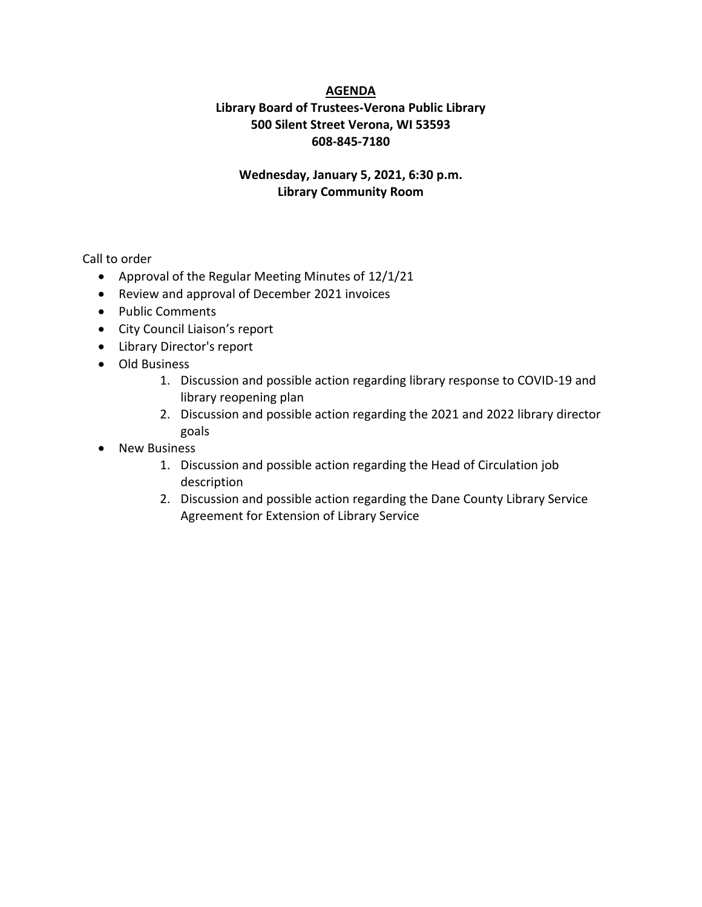### **AGENDA**

## **Library Board of Trustees-Verona Public Library 500 Silent Street Verona, WI 53593 608-845-7180**

### **Wednesday, January 5, 2021, 6:30 p.m. Library Community Room**

Call to order

- Approval of the Regular Meeting Minutes of 12/1/21
- Review and approval of December 2021 invoices
- Public Comments
- City Council Liaison's report
- Library Director's report
- Old Business
	- 1. Discussion and possible action regarding library response to COVID-19 and library reopening plan
	- 2. Discussion and possible action regarding the 2021 and 2022 library director goals
- New Business
	- 1. Discussion and possible action regarding the Head of Circulation job description
	- 2. Discussion and possible action regarding the Dane County Library Service Agreement for Extension of Library Service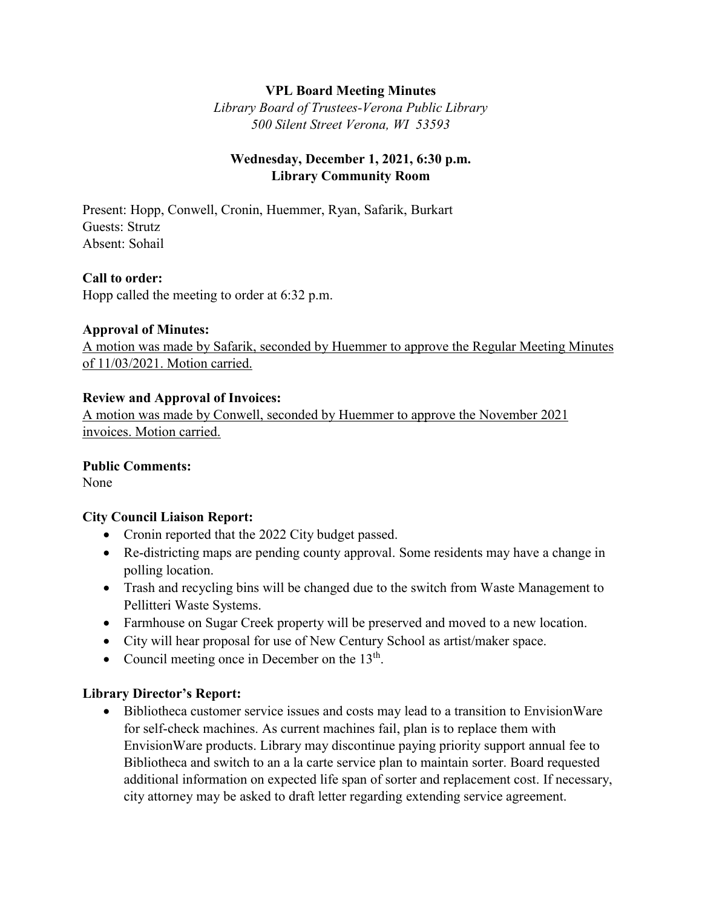## **VPL Board Meeting Minutes**

*Library Board of Trustees-Verona Public Library 500 Silent Street Verona, WI 53593*

## **Wednesday, December 1, 2021, 6:30 p.m. Library Community Room**

Present: Hopp, Conwell, Cronin, Huemmer, Ryan, Safarik, Burkart Guests: Strutz Absent: Sohail

### **Call to order:**

Hopp called the meeting to order at 6:32 p.m.

#### **Approval of Minutes:**

A motion was made by Safarik, seconded by Huemmer to approve the Regular Meeting Minutes of 11/03/2021. Motion carried.

#### **Review and Approval of Invoices:**

A motion was made by Conwell, seconded by Huemmer to approve the November 2021 invoices. Motion carried.

#### **Public Comments:**

None

## **City Council Liaison Report:**

- Cronin reported that the 2022 City budget passed.
- Re-districting maps are pending county approval. Some residents may have a change in polling location.
- Trash and recycling bins will be changed due to the switch from Waste Management to Pellitteri Waste Systems.
- Farmhouse on Sugar Creek property will be preserved and moved to a new location.
- City will hear proposal for use of New Century School as artist/maker space.
- Council meeting once in December on the 13<sup>th</sup>.

#### **Library Director's Report:**

 Bibliotheca customer service issues and costs may lead to a transition to EnvisionWare for self-check machines. As current machines fail, plan is to replace them with EnvisionWare products. Library may discontinue paying priority support annual fee to Bibliotheca and switch to an a la carte service plan to maintain sorter. Board requested additional information on expected life span of sorter and replacement cost. If necessary, city attorney may be asked to draft letter regarding extending service agreement.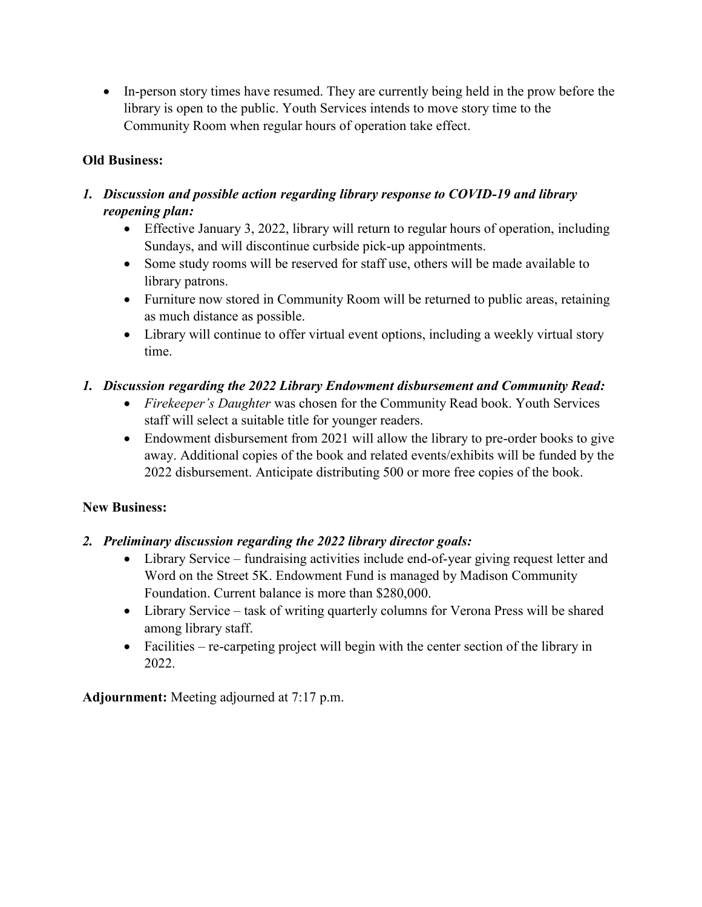• In-person story times have resumed. They are currently being held in the prow before the library is open to the public. Youth Services intends to move story time to the Community Room when regular hours of operation take effect.

# **Old Business:**

# *1. Discussion and possible action regarding library response to COVID-19 and library reopening plan:*

- Effective January 3, 2022, library will return to regular hours of operation, including Sundays, and will discontinue curbside pick-up appointments.
- Some study rooms will be reserved for staff use, others will be made available to library patrons.
- Furniture now stored in Community Room will be returned to public areas, retaining as much distance as possible.
- Library will continue to offer virtual event options, including a weekly virtual story time.

# *1. Discussion regarding the 2022 Library Endowment disbursement and Community Read:*

- *Firekeeper's Daughter* was chosen for the Community Read book. Youth Services staff will select a suitable title for younger readers.
- Endowment disbursement from 2021 will allow the library to pre-order books to give away. Additional copies of the book and related events/exhibits will be funded by the 2022 disbursement. Anticipate distributing 500 or more free copies of the book.

## **New Business:**

- *2. Preliminary discussion regarding the 2022 library director goals:*
	- Library Service fundraising activities include end-of-year giving request letter and Word on the Street 5K. Endowment Fund is managed by Madison Community Foundation. Current balance is more than \$280,000.
	- Library Service task of writing quarterly columns for Verona Press will be shared among library staff.
	- $\bullet$  Facilities re-carpeting project will begin with the center section of the library in 2022.

**Adjournment:** Meeting adjourned at 7:17 p.m.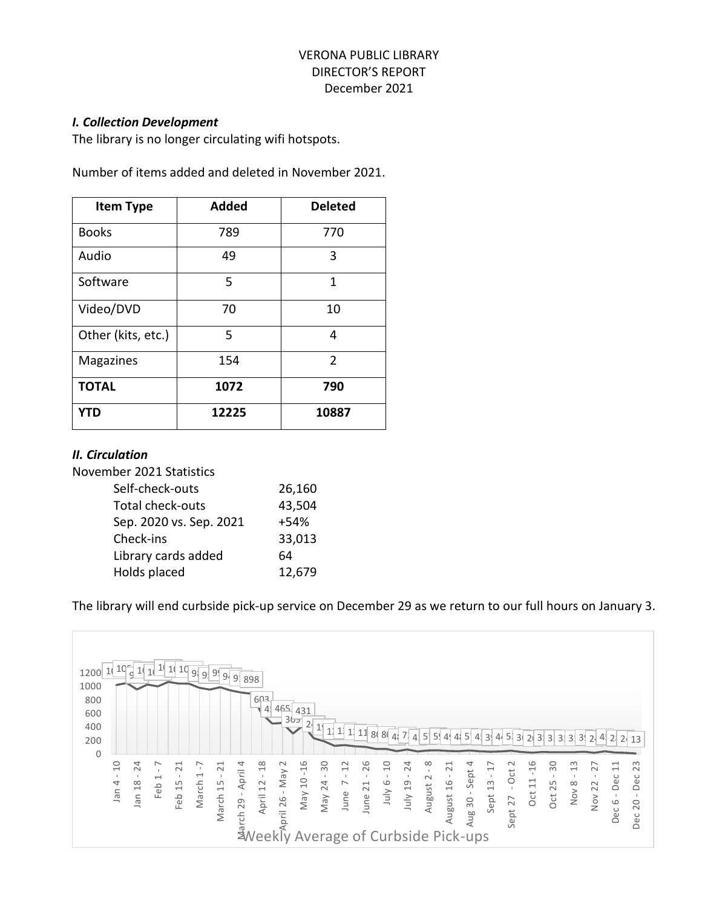## VERONA PUBLIC LIBRARY DIRECTOR'S REPORT December 2021

#### *I. Collection Development*

The library is no longer circulating wifi hotspots.

Number of items added and deleted in November 2021.

| <b>Item Type</b>   | <b>Added</b> | <b>Deleted</b> |
|--------------------|--------------|----------------|
| <b>Books</b>       | 789          | 770            |
| Audio              | 49           | 3              |
| Software           | 5            | 1              |
| Video/DVD          | 70           | 10             |
| Other (kits, etc.) | 5            | 4              |
| <b>Magazines</b>   | 154          | $\overline{2}$ |
| <b>TOTAL</b>       | 1072         | 790            |
| YTD                | 12225        | 10887          |

#### *II. Circulation*

November 2021 Statistics

| 26,160 |
|--------|
| 43,504 |
| $+54%$ |
| 33,013 |
| 64     |
| 12,679 |
|        |

The library will end curbside pick-up service on December 29 as we return to our full hours on January 3.

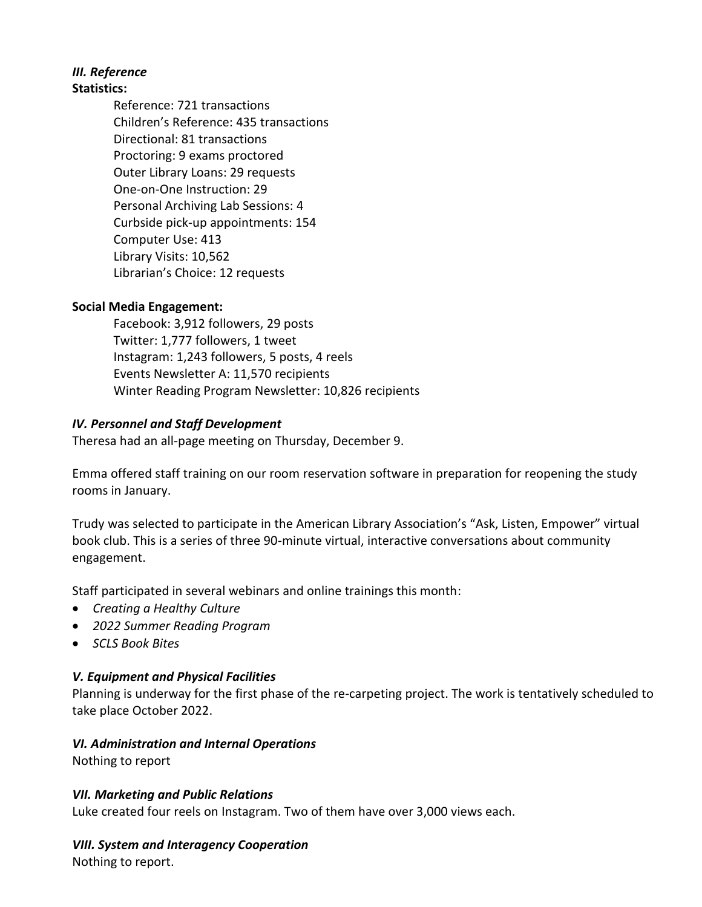#### *III. Reference* **Statistics:**

Reference: 721 transactions Children's Reference: 435 transactions Directional: 81 transactions Proctoring: 9 exams proctored Outer Library Loans: 29 requests One-on-One Instruction: 29 Personal Archiving Lab Sessions: 4 Curbside pick-up appointments: 154 Computer Use: 413 Library Visits: 10,562 Librarian's Choice: 12 requests

# **Social Media Engagement:**

Facebook: 3,912 followers, 29 posts Twitter: 1,777 followers, 1 tweet Instagram: 1,243 followers, 5 posts, 4 reels Events Newsletter A: 11,570 recipients Winter Reading Program Newsletter: 10,826 recipients

# *IV. Personnel and Staff Development*

Theresa had an all-page meeting on Thursday, December 9.

Emma offered staff training on our room reservation software in preparation for reopening the study rooms in January.

Trudy was selected to participate in the American Library Association's "Ask, Listen, Empower" virtual book club. This is a series of three 90-minute virtual, interactive conversations about community engagement.

Staff participated in several webinars and online trainings this month:

- *Creating a Healthy Culture*
- *2022 Summer Reading Program*
- *SCLS Book Bites*

## *V. Equipment and Physical Facilities*

Planning is underway for the first phase of the re-carpeting project. The work is tentatively scheduled to take place October 2022.

# *VI. Administration and Internal Operations*

Nothing to report

## *VII. Marketing and Public Relations*

Luke created four reels on Instagram. Two of them have over 3,000 views each.

## *VIII. System and Interagency Cooperation*

Nothing to report.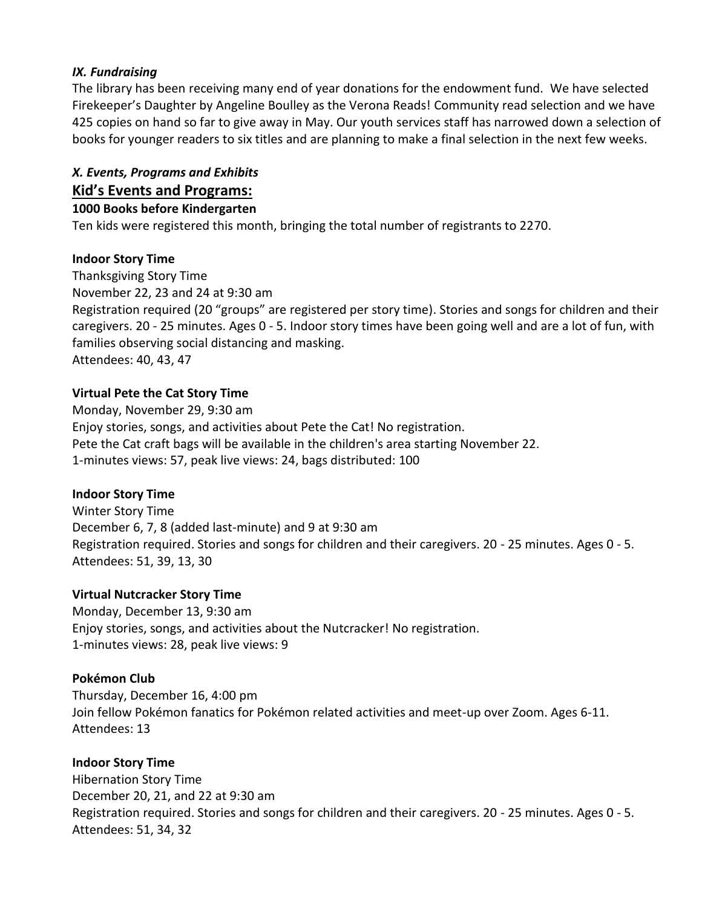## *IX. Fundraising*

The library has been receiving many end of year donations for the endowment fund. We have selected Firekeeper's Daughter by Angeline Boulley as the Verona Reads! Community read selection and we have 425 copies on hand so far to give away in May. Our youth services staff has narrowed down a selection of books for younger readers to six titles and are planning to make a final selection in the next few weeks.

# *X. Events, Programs and Exhibits*

## **Kid's Events and Programs:**

#### **1000 Books before Kindergarten**

Ten kids were registered this month, bringing the total number of registrants to 2270.

### **Indoor Story Time**

Thanksgiving Story Time November 22, 23 and 24 at 9:30 am Registration required (20 "groups" are registered per story time). Stories and songs for children and their caregivers. 20 - 25 minutes. Ages 0 - 5. Indoor story times have been going well and are a lot of fun, with families observing social distancing and masking. Attendees: 40, 43, 47

### **Virtual Pete the Cat Story Time**

Monday, November 29, 9:30 am Enjoy stories, songs, and activities about Pete the Cat! No registration. Pete the Cat craft bags will be available in the children's area starting November 22. 1-minutes views: 57, peak live views: 24, bags distributed: 100

## **Indoor Story Time**

Winter Story Time December 6, 7, 8 (added last-minute) and 9 at 9:30 am Registration required. Stories and songs for children and their caregivers. 20 - 25 minutes. Ages 0 - 5. Attendees: 51, 39, 13, 30

#### **Virtual Nutcracker Story Time**

Monday, December 13, 9:30 am Enjoy stories, songs, and activities about the Nutcracker! No registration. 1-minutes views: 28, peak live views: 9

## **Pokémon Club**

Thursday, December 16, 4:00 pm Join fellow Pokémon fanatics for Pokémon related activities and meet-up over Zoom. Ages 6-11. Attendees: 13

#### **Indoor Story Time**

Hibernation Story Time December 20, 21, and 22 at 9:30 am Registration required. Stories and songs for children and their caregivers. 20 - 25 minutes. Ages 0 - 5. Attendees: 51, 34, 32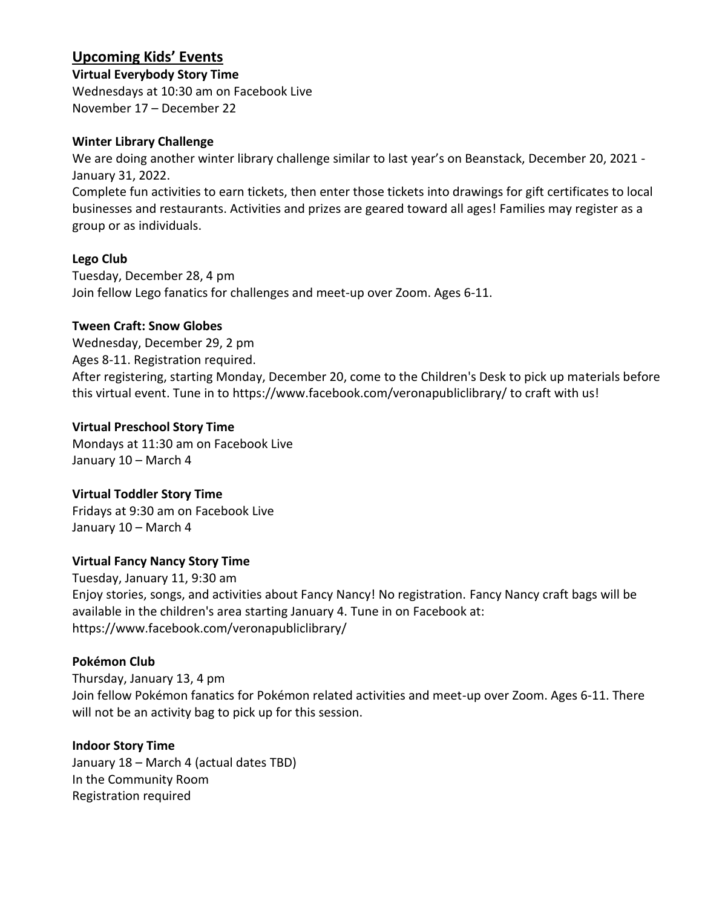# **Upcoming Kids' Events**

**Virtual Everybody Story Time**

Wednesdays at 10:30 am on Facebook Live November 17 – December 22

## **Winter Library Challenge**

We are doing another winter library challenge similar to last year's on Beanstack, December 20, 2021 - January 31, 2022.

Complete fun activities to earn tickets, then enter those tickets into drawings for gift certificates to local businesses and restaurants. Activities and prizes are geared toward all ages! Families may register as a group or as individuals.

## **Lego Club**

Tuesday, December 28, 4 pm Join fellow Lego fanatics for challenges and meet-up over Zoom. Ages 6-11.

## **Tween Craft: Snow Globes**

Wednesday, December 29, 2 pm Ages 8-11. Registration required.

After registering, starting Monday, December 20, come to the Children's Desk to pick up materials before this virtual event. Tune in to https://www.facebook.com/veronapubliclibrary/ to craft with us!

# **Virtual Preschool Story Time**

Mondays at 11:30 am on Facebook Live January 10 – March 4

# **Virtual Toddler Story Time**

Fridays at 9:30 am on Facebook Live January 10 – March 4

# **Virtual Fancy Nancy Story Time**

Tuesday, January 11, 9:30 am Enjoy stories, songs, and activities about Fancy Nancy! No registration. Fancy Nancy craft bags will be available in the children's area starting January 4. Tune in on Facebook at: https://www.facebook.com/veronapubliclibrary/

# **Pokémon Club**

Thursday, January 13, 4 pm Join fellow Pokémon fanatics for Pokémon related activities and meet-up over Zoom. Ages 6-11. There will not be an activity bag to pick up for this session.

## **Indoor Story Time**

January 18 – March 4 (actual dates TBD) In the Community Room Registration required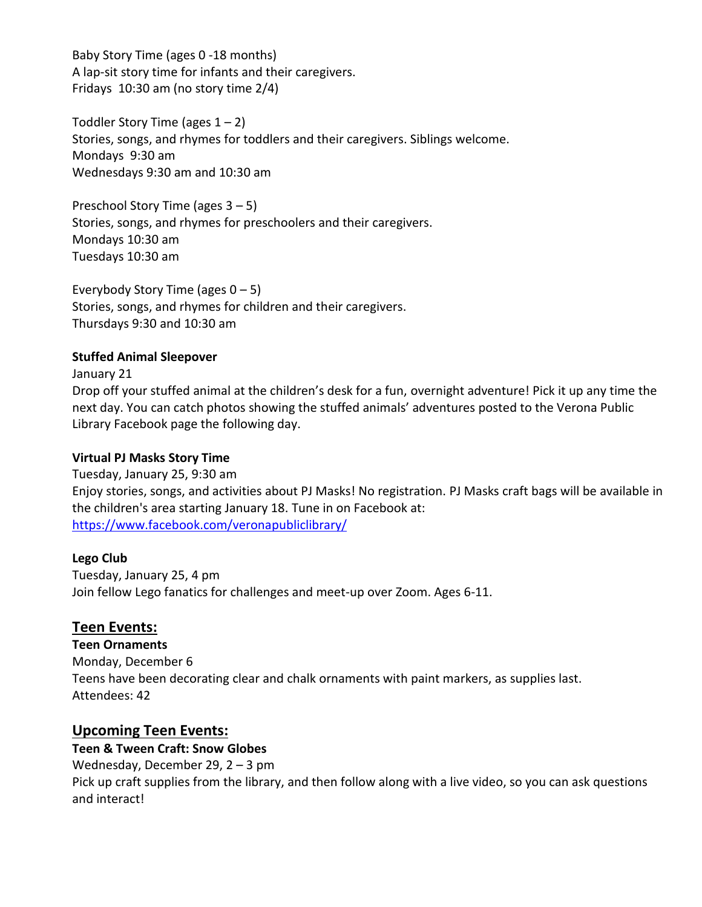Baby Story Time (ages 0 -18 months) A lap-sit story time for infants and their caregivers. Fridays 10:30 am (no story time 2/4)

Toddler Story Time (ages  $1 - 2$ ) Stories, songs, and rhymes for toddlers and their caregivers. Siblings welcome. Mondays 9:30 am Wednesdays 9:30 am and 10:30 am

Preschool Story Time (ages 3 – 5) Stories, songs, and rhymes for preschoolers and their caregivers. Mondays 10:30 am Tuesdays 10:30 am

Everybody Story Time (ages  $0 - 5$ ) Stories, songs, and rhymes for children and their caregivers. Thursdays 9:30 and 10:30 am

### **Stuffed Animal Sleepover**

January 21

Drop off your stuffed animal at the children's desk for a fun, overnight adventure! Pick it up any time the next day. You can catch photos showing the stuffed animals' adventures posted to the Verona Public Library Facebook page the following day.

## **Virtual PJ Masks Story Time**

Tuesday, January 25, 9:30 am Enjoy stories, songs, and activities about PJ Masks! No registration. PJ Masks craft bags will be available in the children's area starting January 18. Tune in on Facebook at: <https://www.facebook.com/veronapubliclibrary/>

## **Lego Club**

Tuesday, January 25, 4 pm Join fellow Lego fanatics for challenges and meet-up over Zoom. Ages 6-11.

## **Teen Events:**

**Teen Ornaments** Monday, December 6 Teens have been decorating clear and chalk ornaments with paint markers, as supplies last. Attendees: 42

# **Upcoming Teen Events:**

## **Teen & Tween Craft: Snow Globes**

Wednesday, December 29, 2 – 3 pm Pick up craft supplies from the library, and then follow along with a live video, so you can ask questions and interact!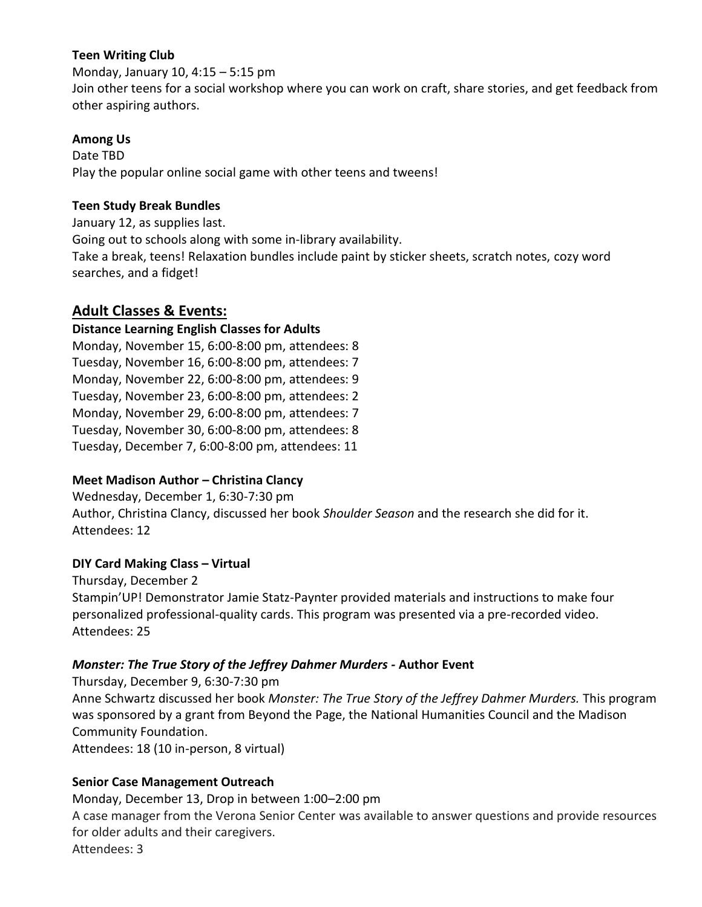## **Teen Writing Club**

Monday, January 10, 4:15 – 5:15 pm Join other teens for a social workshop where you can work on craft, share stories, and get feedback from other aspiring authors.

### **Among Us**

Date TBD Play the popular online social game with other teens and tweens!

#### **Teen Study Break Bundles**

January 12, as supplies last. Going out to schools along with some in-library availability. Take a break, teens! Relaxation bundles include paint by sticker sheets, scratch notes, cozy word searches, and a fidget!

# **Adult Classes & Events:**

## **Distance Learning English Classes for Adults**

Monday, November 15, 6:00-8:00 pm, attendees: 8 Tuesday, November 16, 6:00-8:00 pm, attendees: 7 Monday, November 22, 6:00-8:00 pm, attendees: 9 Tuesday, November 23, 6:00-8:00 pm, attendees: 2 Monday, November 29, 6:00-8:00 pm, attendees: 7 Tuesday, November 30, 6:00-8:00 pm, attendees: 8 Tuesday, December 7, 6:00-8:00 pm, attendees: 11

## **Meet Madison Author – Christina Clancy**

Wednesday, December 1, 6:30-7:30 pm Author, Christina Clancy, discussed her book *Shoulder Season* and the research she did for it. Attendees: 12

#### **DIY Card Making Class – Virtual**

Thursday, December 2 Stampin'UP! Demonstrator Jamie Statz-Paynter provided materials and instructions to make four personalized professional-quality cards. This program was presented via a pre-recorded video. Attendees: 25

## *Monster: The True Story of the Jeffrey Dahmer Murders -* **Author Event**

Thursday, December 9, 6:30-7:30 pm Anne Schwartz discussed her book *Monster: The True Story of the Jeffrey Dahmer Murders.* This program was sponsored by a grant from Beyond the Page, the National Humanities Council and the Madison Community Foundation.

Attendees: 18 (10 in-person, 8 virtual)

## **Senior Case Management Outreach**

Monday, December 13, Drop in between 1:00–2:00 pm

A case manager from the Verona Senior Center was available to answer questions and provide resources for older adults and their caregivers.

Attendees: 3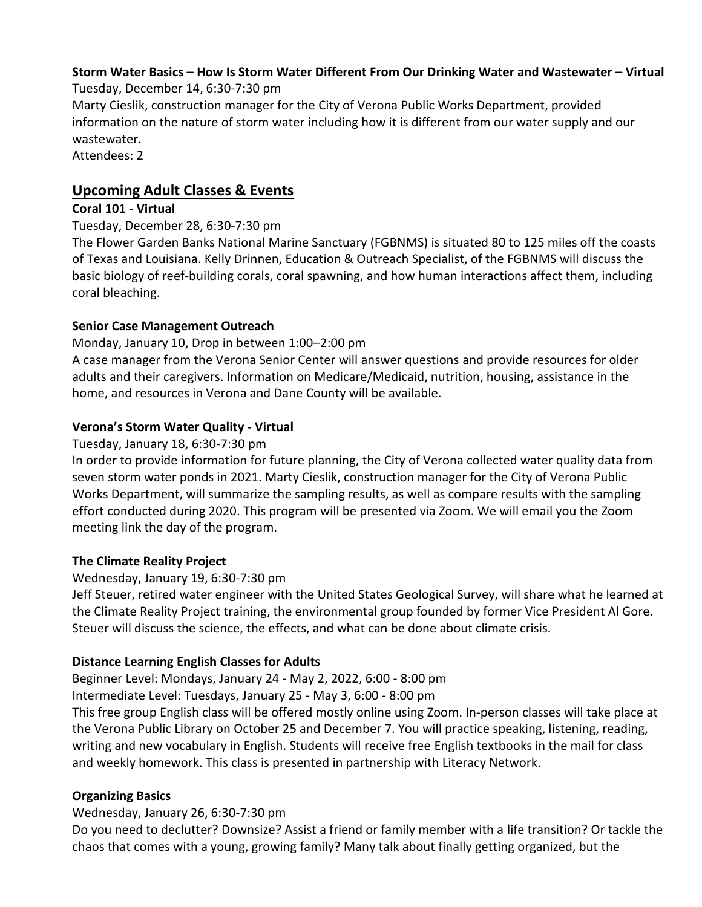#### **Storm Water Basics – How Is Storm Water Different From Our Drinking Water and Wastewater – Virtual** Tuesday, December 14, 6:30-7:30 pm

Marty Cieslik, construction manager for the City of Verona Public Works Department, provided information on the nature of storm water including how it is different from our water supply and our wastewater.

Attendees: 2

# **Upcoming Adult Classes & Events**

# **Coral 101 - Virtual**

# Tuesday, December 28, 6:30-7:30 pm

The Flower Garden Banks National Marine Sanctuary (FGBNMS) is situated 80 to 125 miles off the coasts of Texas and Louisiana. Kelly Drinnen, Education & Outreach Specialist, of the FGBNMS will discuss the basic biology of reef-building corals, coral spawning, and how human interactions affect them, including coral bleaching.

# **Senior Case Management Outreach**

# Monday, January 10, Drop in between 1:00–2:00 pm

A case manager from the Verona Senior Center will answer questions and provide resources for older adults and their caregivers. Information on Medicare/Medicaid, nutrition, housing, assistance in the home, and resources in Verona and Dane County will be available.

# **Verona's Storm Water Quality - Virtual**

# Tuesday, January 18, 6:30-7:30 pm

In order to provide information for future planning, the City of Verona collected water quality data from seven storm water ponds in 2021. Marty Cieslik, construction manager for the City of Verona Public Works Department, will summarize the sampling results, as well as compare results with the sampling effort conducted during 2020. This program will be presented via Zoom. We will email you the Zoom meeting link the day of the program.

# **The Climate Reality Project**

## Wednesday, January 19, 6:30-7:30 pm

Jeff Steuer, retired water engineer with the United States Geological Survey, will share what he learned at the Climate Reality Project training, the environmental group founded by former Vice President Al Gore. Steuer will discuss the science, the effects, and what can be done about climate crisis.

# **Distance Learning English Classes for Adults**

Beginner Level: Mondays, January 24 - May 2, 2022, 6:00 - 8:00 pm

Intermediate Level: Tuesdays, January 25 - May 3, 6:00 - 8:00 pm

This free group English class will be offered mostly online using Zoom. In-person classes will take place at the Verona Public Library on October 25 and December 7. You will practice speaking, listening, reading, writing and new vocabulary in English. Students will receive free English textbooks in the mail for class and weekly homework. This class is presented in partnership with Literacy Network.

# **Organizing Basics**

# Wednesday, January 26, 6:30-7:30 pm

Do you need to declutter? Downsize? Assist a friend or family member with a life transition? Or tackle the chaos that comes with a young, growing family? Many talk about finally getting organized, but the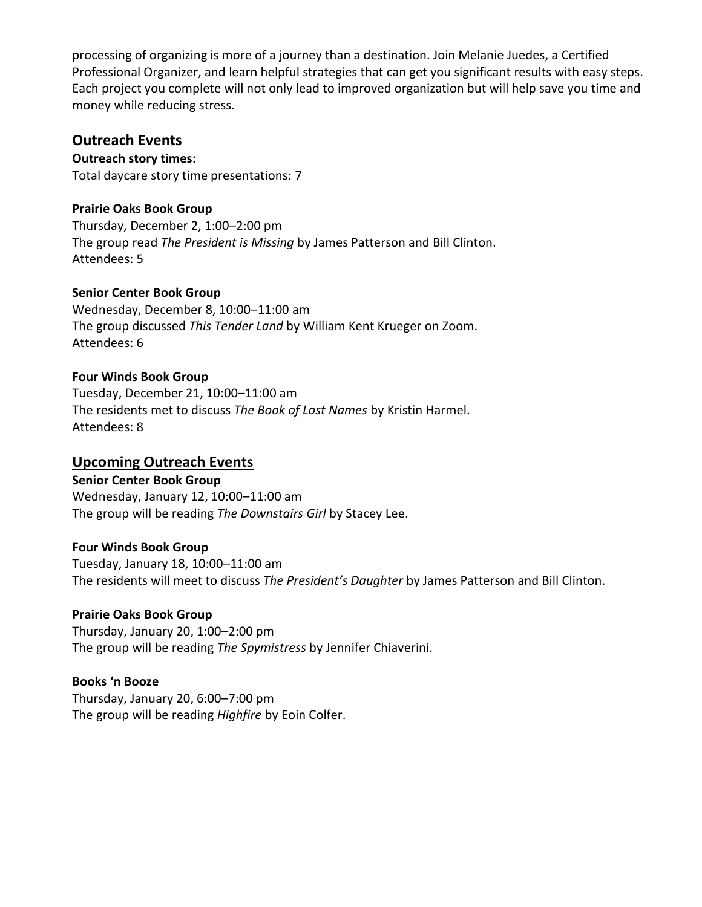processing of organizing is more of a journey than a destination. Join Melanie Juedes, a Certified Professional Organizer, and learn helpful strategies that can get you significant results with easy steps. Each project you complete will not only lead to improved organization but will help save you time and money while reducing stress.

# **Outreach Events**

**Outreach story times:** Total daycare story time presentations: 7

## **Prairie Oaks Book Group**

Thursday, December 2, 1:00–2:00 pm The group read *The President is Missing* by James Patterson and Bill Clinton. Attendees: 5

### **Senior Center Book Group**

Wednesday, December 8, 10:00–11:00 am The group discussed *This Tender Land* by William Kent Krueger on Zoom. Attendees: 6

### **Four Winds Book Group**

Tuesday, December 21, 10:00–11:00 am The residents met to discuss *The Book of Lost Names* by Kristin Harmel. Attendees: 8

## **Upcoming Outreach Events**

**Senior Center Book Group** Wednesday, January 12, 10:00–11:00 am The group will be reading *The Downstairs Girl* by Stacey Lee.

## **Four Winds Book Group**

Tuesday, January 18, 10:00–11:00 am The residents will meet to discuss *The President's Daughter* by James Patterson and Bill Clinton.

## **Prairie Oaks Book Group**

Thursday, January 20, 1:00–2:00 pm The group will be reading *The Spymistress* by Jennifer Chiaverini.

## **Books 'n Booze**

Thursday, January 20, 6:00–7:00 pm The group will be reading *Highfire* by Eoin Colfer.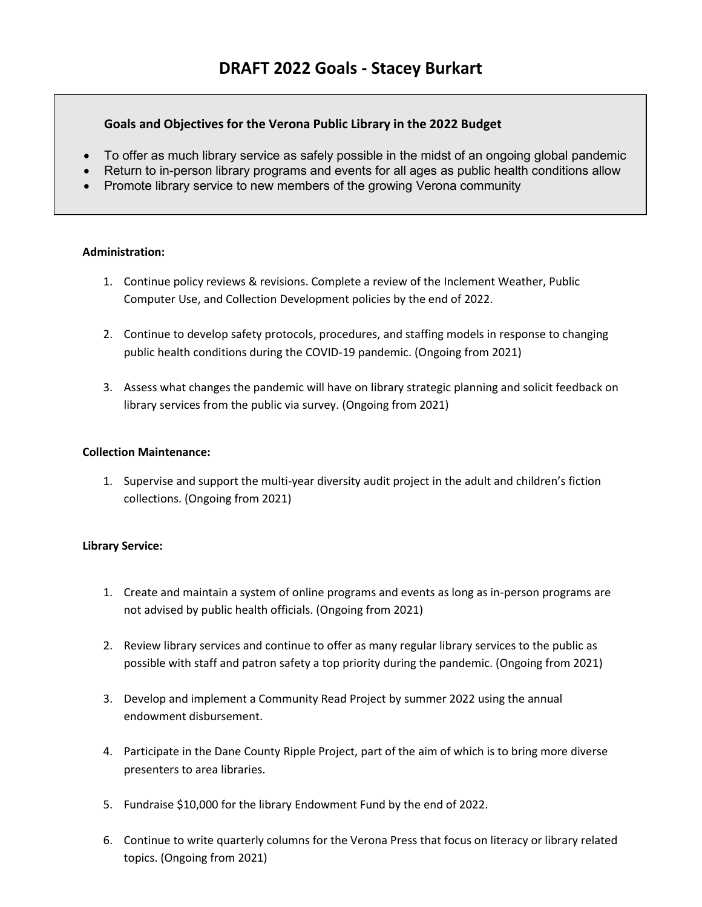#### **Goals and Objectives for the Verona Public Library in the 2022 Budget**

- To offer as much library service as safely possible in the midst of an ongoing global pandemic
- Return to in-person library programs and events for all ages as public health conditions allow
- Promote library service to new members of the growing Verona community

#### **Administration:**

- 1. Continue policy reviews & revisions. Complete a review of the Inclement Weather, Public Computer Use, and Collection Development policies by the end of 2022.
- 2. Continue to develop safety protocols, procedures, and staffing models in response to changing public health conditions during the COVID-19 pandemic. (Ongoing from 2021)
- 3. Assess what changes the pandemic will have on library strategic planning and solicit feedback on library services from the public via survey. (Ongoing from 2021)

#### **Collection Maintenance:**

1. Supervise and support the multi-year diversity audit project in the adult and children's fiction collections. (Ongoing from 2021)

#### **Library Service:**

- 1. Create and maintain a system of online programs and events as long as in-person programs are not advised by public health officials. (Ongoing from 2021)
- 2. Review library services and continue to offer as many regular library services to the public as possible with staff and patron safety a top priority during the pandemic. (Ongoing from 2021)
- 3. Develop and implement a Community Read Project by summer 2022 using the annual endowment disbursement.
- 4. Participate in the Dane County Ripple Project, part of the aim of which is to bring more diverse presenters to area libraries.
- 5. Fundraise \$10,000 for the library Endowment Fund by the end of 2022.
- 6. Continue to write quarterly columns for the Verona Press that focus on literacy or library related topics. (Ongoing from 2021)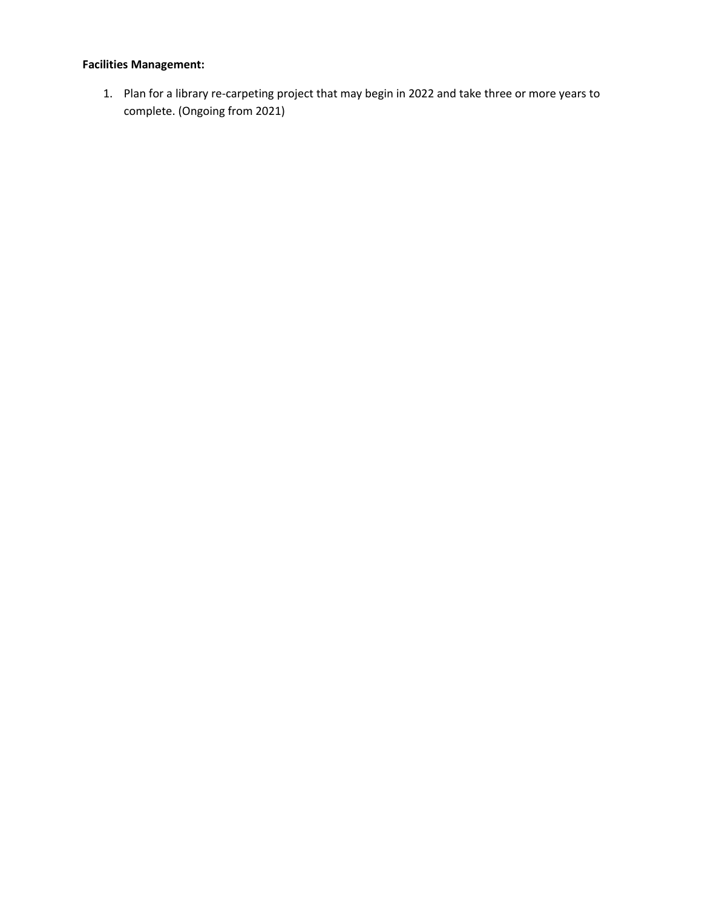# **Facilities Management:**

1. Plan for a library re-carpeting project that may begin in 2022 and take three or more years to complete. (Ongoing from 2021)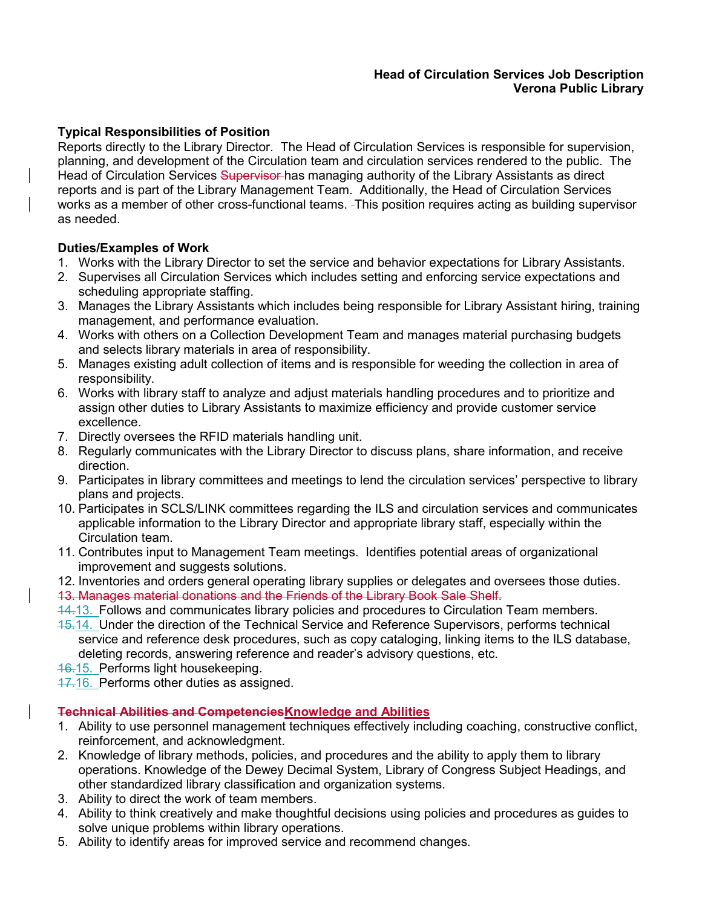#### **Head of Circulation Services Job Description Verona Public Library**

## **Typical Responsibilities of Position**

Reports directly to the Library Director. The Head of Circulation Services is responsible for supervision, planning, and development of the Circulation team and circulation services rendered to the public. The Head of Circulation Services Supervisor has managing authority of the Library Assistants as direct reports and is part of the Library Management Team. Additionally, the Head of Circulation Services works as a member of other cross-functional teams. This position requires acting as building supervisor as needed.

### **Duties/Examples of Work**

- 1. Works with the Library Director to set the service and behavior expectations for Library Assistants.
- 2. Supervises all Circulation Services which includes setting and enforcing service expectations and scheduling appropriate staffing.
- 3. Manages the Library Assistants which includes being responsible for Library Assistant hiring, training management, and performance evaluation.
- 4. Works with others on a Collection Development Team and manages material purchasing budgets and selects library materials in area of responsibility.
- 5. Manages existing adult collection of items and is responsible for weeding the collection in area of responsibility.
- 6. Works with library staff to analyze and adjust materials handling procedures and to prioritize and assign other duties to Library Assistants to maximize efficiency and provide customer service excellence.
- 7. Directly oversees the RFID materials handling unit.
- 8. Regularly communicates with the Library Director to discuss plans, share information, and receive direction.
- 9. Participates in library committees and meetings to lend the circulation services' perspective to library plans and projects.
- 10. Participates in SCLS/LINK committees regarding the ILS and circulation services and communicates applicable information to the Library Director and appropriate library staff, especially within the Circulation team.
- 11. Contributes input to Management Team meetings. Identifies potential areas of organizational improvement and suggests solutions.
- 12. Inventories and orders general operating library supplies or delegates and oversees those duties.
- 13. Manages material donations and the Friends of the Library Book Sale Shelf.
- 14.13. Follows and communicates library policies and procedures to Circulation Team members.
- 15.14. Under the direction of the Technical Service and Reference Supervisors, performs technical service and reference desk procedures, such as copy cataloging, linking items to the ILS database, deleting records, answering reference and reader's advisory questions, etc.
- 16.15. Performs light housekeeping.
- 17.16. Performs other duties as assigned.

## **Technical Abilities and CompetenciesKnowledge and Abilities**

- 1. Ability to use personnel management techniques effectively including coaching, constructive conflict, reinforcement, and acknowledgment.
- 2. Knowledge of library methods, policies, and procedures and the ability to apply them to library operations. Knowledge of the Dewey Decimal System, Library of Congress Subject Headings, and other standardized library classification and organization systems.
- 3. Ability to direct the work of team members.
- 4. Ability to think creatively and make thoughtful decisions using policies and procedures as guides to solve unique problems within library operations.
- 5. Ability to identify areas for improved service and recommend changes.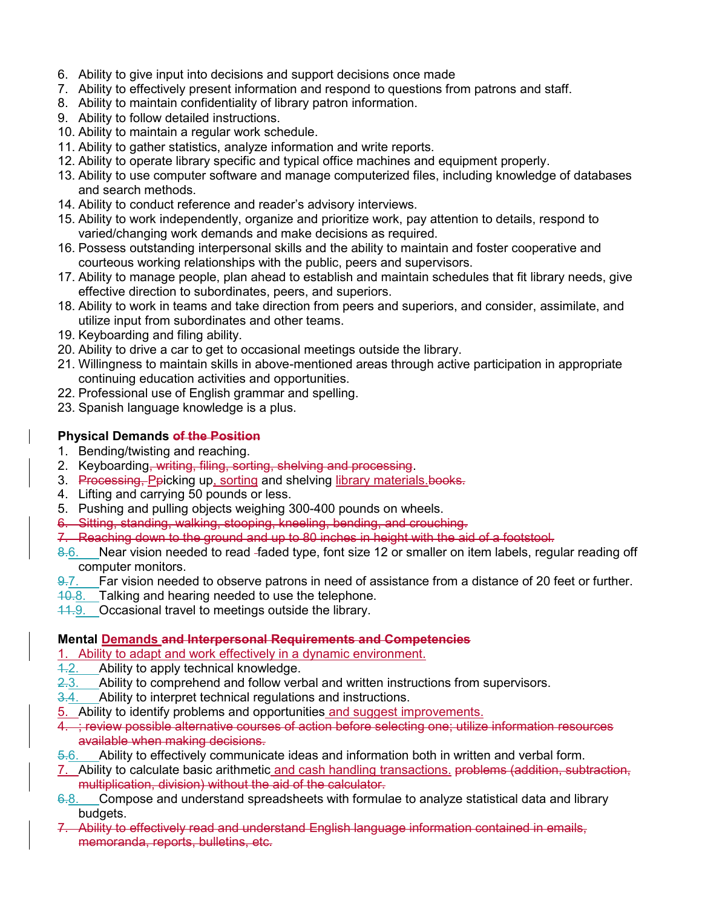- 6. Ability to give input into decisions and support decisions once made
- 7. Ability to effectively present information and respond to questions from patrons and staff.
- 8. Ability to maintain confidentiality of library patron information.
- 9. Ability to follow detailed instructions.
- 10. Ability to maintain a regular work schedule.
- 11. Ability to gather statistics, analyze information and write reports.
- 12. Ability to operate library specific and typical office machines and equipment properly.
- 13. Ability to use computer software and manage computerized files, including knowledge of databases and search methods.
- 14. Ability to conduct reference and reader's advisory interviews.
- 15. Ability to work independently, organize and prioritize work, pay attention to details, respond to varied/changing work demands and make decisions as required.
- 16. Possess outstanding interpersonal skills and the ability to maintain and foster cooperative and courteous working relationships with the public, peers and supervisors.
- 17. Ability to manage people, plan ahead to establish and maintain schedules that fit library needs, give effective direction to subordinates, peers, and superiors.
- 18. Ability to work in teams and take direction from peers and superiors, and consider, assimilate, and utilize input from subordinates and other teams.
- 19. Keyboarding and filing ability.
- 20. Ability to drive a car to get to occasional meetings outside the library.
- 21. Willingness to maintain skills in above-mentioned areas through active participation in appropriate continuing education activities and opportunities.
- 22. Professional use of English grammar and spelling.
- 23. Spanish language knowledge is a plus.

### **Physical Demands of the Position**

- 1. Bending/twisting and reaching.
- 2. Keyboarding, writing, filing, sorting, shelving and processing.
- 3. Processing, Peicking up, sorting and shelving library materials. books.
- 4. Lifting and carrying 50 pounds or less.
- 5. Pushing and pulling objects weighing 300-400 pounds on wheels.
- 6. Sitting, standing, walking, stooping, kneeling, bending, and crouching.
- 7. Reaching down to the ground and up to 80 inches in height with the aid of a footstool.
- 8.6. Near vision needed to read faded type, font size 12 or smaller on item labels, regular reading off computer monitors.
- 9.7. Far vision needed to observe patrons in need of assistance from a distance of 20 feet or further.
- 10.8. Talking and hearing needed to use the telephone.
- 11.9. Occasional travel to meetings outside the library.

#### **Mental Demands and Interpersonal Requirements and Competencies**

1. Ability to adapt and work effectively in a dynamic environment.

- $\frac{4.2}{2.3}$  Ability to apply technical knowledge.<br>2.3. Ability to comprehend and follow ver
- Ability to comprehend and follow verbal and written instructions from supervisors.
- 3.4. Ability to interpret technical regulations and instructions.
- 5. Ability to identify problems and opportunities and suggest improvements.
- 4. ; review possible alternative courses of action before selecting one; utilize information resources a<del>vailable when making decisions.</del><br>5-6. Ability to effectively communic
- Ability to effectively communicate ideas and information both in written and verbal form.
- 7. Ability to calculate basic arithmetic and cash handling transactions. problems (addition, subtraction, multiplication, division) without the aid of the calculator.
- 6.8. Compose and understand spreadsheets with formulae to analyze statistical data and library budgets.
- 7. Ability to effectively read and understand English language information contained in emails, memoranda, reports, bulletins, etc.